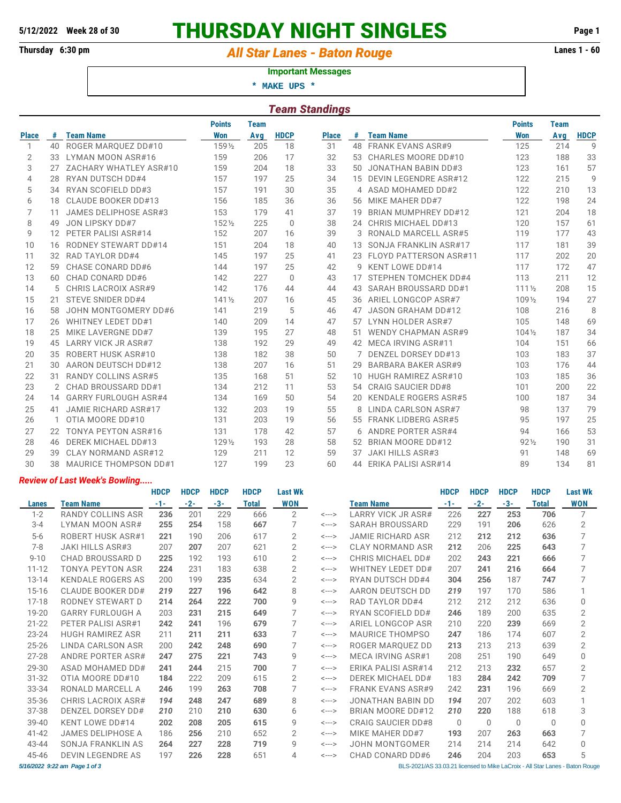# **5/12/2022 Week 28 of 30 THURSDAY NIGHT SINGLES Page 1**

## Thursday 6:30 pm *All Star Lanes - Baton Rouge* **Lanes 1 - 60**

#### **Important Messages**

 **\* MAKE UPS \***

|                | <b>Team Standings</b> |                              |                  |             |              |              |    |                               |                  |             |                |  |  |  |
|----------------|-----------------------|------------------------------|------------------|-------------|--------------|--------------|----|-------------------------------|------------------|-------------|----------------|--|--|--|
|                |                       |                              | <b>Points</b>    | <b>Team</b> |              |              |    |                               | <b>Points</b>    | <b>Team</b> |                |  |  |  |
| <b>Place</b>   | #                     | <b>Team Name</b>             | <b>Won</b>       | Avg         | <b>HDCP</b>  | <b>Place</b> | #  | <b>Team Name</b>              | <b>Won</b>       | Avg         | <b>HDCP</b>    |  |  |  |
| 1              | 40                    | ROGER MARQUEZ DD#10          | 1591/2           | 205         | 18           | 31           | 48 | <b>FRANK EVANS ASR#9</b>      | 125              | 214         | 9              |  |  |  |
| 2              | 33                    | LYMAN MOON ASR#16            | 159              | 206         | 17           | 32           | 53 | CHARLES MOORE DD#10           | 123              | 188         | 33             |  |  |  |
| 3              | 27                    | ZACHARY WHATLEY ASR#10       | 159              | 204         | 18           | 33           | 50 | <b>JONATHAN BABIN DD#3</b>    | 123              | 161         | 57             |  |  |  |
| $\overline{4}$ | 28                    | <b>RYAN DUTSCH DD#4</b>      | 157              | 197         | 25           | 34           | 15 | <b>DEVIN LEGENDRE ASR#12</b>  | 122              | 215         | $\overline{9}$ |  |  |  |
| 5              | 34                    | RYAN SCOFIELD DD#3           | 157              | 191         | 30           | 35           | 4  | ASAD MOHAMED DD#2             | 122              | 210         | 13             |  |  |  |
| 6              | 18                    | CLAUDE BOOKER DD#13          | 156              | 185         | 36           | 36           | 56 | MIKE MAHER DD#7               | 122              | 198         | 24             |  |  |  |
| 7              | 11                    | JAMES DELIPHOSE ASR#3        | 153              | 179         | 41           | 37           | 19 | <b>BRIAN MUMPHREY DD#12</b>   | 121              | 204         | 18             |  |  |  |
| 8              | 49                    | JON LIPSKY DD#7              | 1521/2           | 225         | $\mathbf{0}$ | 38           | 24 | CHRIS MICHAEL DD#13           | 120              | 157         | 61             |  |  |  |
| 9              | $12 \overline{ }$     | PETER PALISI ASR#14          | 152              | 207         | 16           | 39           | 3  | <b>RONALD MARCELL ASR#5</b>   | 119              | 177         | 43             |  |  |  |
| 10             | 16                    | <b>RODNEY STEWART DD#14</b>  | 151              | 204         | 18           | 40           | 13 | SONJA FRANKLIN ASR#17         | 117              | 181         | 39             |  |  |  |
| 11             | 32                    | <b>RAD TAYLOR DD#4</b>       | 145              | 197         | 25           | 41           | 23 | <b>FLOYD PATTERSON ASR#11</b> | 117              | 202         | 20             |  |  |  |
| 12             | 59                    | CHASE CONARD DD#6            | 144              | 197         | 25           | 42           | 9  | KENT LOWE DD#14               | 117              | 172         | 47             |  |  |  |
| 13             | 60                    | CHAD CONARD DD#6             | 142              | 227         | $\Omega$     | 43           | 17 | STEPHEN TOMCHEK DD#4          | 113              | 211         | 12             |  |  |  |
| 14             | 5                     | <b>CHRIS LACROIX ASR#9</b>   | 142              | 176         | 44           | 44           | 43 | SARAH BROUSSARD DD#1          | $111\frac{1}{2}$ | 208         | 15             |  |  |  |
| 15             | 21                    | <b>STEVE SNIDER DD#4</b>     | $141\frac{1}{2}$ | 207         | 16           | 45           | 36 | ARIEL LONGCOP ASR#7           | 1091/2           | 194         | 27             |  |  |  |
| 16             | 58                    | JOHN MONTGOMERY DD#6         | 141              | 219         | 5            | 46           | 47 | <b>JASON GRAHAM DD#12</b>     | 108              | 216         | 8              |  |  |  |
| 17             | 26                    | <b>WHITNEY LEDET DD#1</b>    | 140              | 209         | 14           | 47           | 57 | LYNN HOLDER ASR#7             | 105              | 148         | 69             |  |  |  |
| 18             | 25                    | MIKE LAVERGNE DD#7           | 139              | 195         | 27           | 48           | 51 | <b>WENDY CHAPMAN ASR#9</b>    | $104\frac{1}{2}$ | 187         | 34             |  |  |  |
| 19             | 45                    | LARRY VICK JR ASR#7          | 138              | 192         | 29           | 49           |    | 42 MECA IRVING ASR#11         | 104              | 151         | 66             |  |  |  |
| 20             | 35                    | ROBERT HUSK ASR#10           | 138              | 182         | 38           | 50           |    | DENZEL DORSEY DD#13           | 103              | 183         | 37             |  |  |  |
| 21             | 30                    | AARON DEUTSCH DD#12          | 138              | 207         | 16           | 51           | 29 | <b>BARBARA BAKER ASR#9</b>    | 103              | 176         | 44             |  |  |  |
| 22             | 31                    | <b>RANDY COLLINS ASR#5</b>   | 135              | 168         | 51           | 52           | 10 | HUGH RAMIREZ ASR#10           | 103              | 185         | 36             |  |  |  |
| 23             | 2                     | CHAD BROUSSARD DD#1          | 134              | 212         | 11           | 53           | 54 | <b>CRAIG SAUCIER DD#8</b>     | 101              | 200         | 22             |  |  |  |
| 24             | 14                    | <b>GARRY FURLOUGH ASR#4</b>  | 134              | 169         | 50           | 54           | 20 | <b>KENDALE ROGERS ASR#5</b>   | 100              | 187         | 34             |  |  |  |
| 25             | 41                    | JAMIE RICHARD ASR#17         | 132              | 203         | 19           | 55           | 8  | LINDA CARLSON ASR#7           | 98               | 137         | 79             |  |  |  |
| 26             | 1                     | OTIA MOORE DD#10             | 131              | 203         | 19           | 56           | 55 | <b>FRANK LIDBERG ASR#5</b>    | 95               | 197         | 25             |  |  |  |
| 27             | 22                    | TONYA PEYTON ASR#16          | 131              | 178         | 42           | 57           | 6  | ANDRE PORTER ASR#4            | 94               | 166         | 53             |  |  |  |
| 28             | 46                    | <b>DEREK MICHAEL DD#13</b>   | 1291/2           | 193         | 28           | 58           | 52 | <b>BRIAN MOORE DD#12</b>      | $92\frac{1}{2}$  | 190         | 31             |  |  |  |
| 29             | 39                    | CLAY NORMAND ASR#12          | 129              | 211         | 12           | 59           | 37 | <b>JAKI HILLS ASR#3</b>       | 91               | 148         | 69             |  |  |  |
| 30             | 38                    | <b>MAURICE THOMPSON DD#1</b> | 127              | 199         | 23           | 60           | 44 | <b>ERIKA PALISI ASR#14</b>    | 89               | 134         | 81             |  |  |  |

### *Review of Last Week's Bowling.....*

|                                                                                                               |                          | <b>HDCP</b> | <b>HDCP</b> | <b>HDCP</b> | <b>HDCP</b>  | <b>Last Wk</b> |                            |                           | <b>HDCP</b> | <b>HDCP</b> | <b>HDCP</b> | <b>HDCP</b>  | <b>Last Wk</b> |
|---------------------------------------------------------------------------------------------------------------|--------------------------|-------------|-------------|-------------|--------------|----------------|----------------------------|---------------------------|-------------|-------------|-------------|--------------|----------------|
| Lanes                                                                                                         | Team Name                | $-1-$       | $-2-$       | $-3-$       | <b>Total</b> | <b>WON</b>     |                            | <b>Team Name</b>          | $-1-$       | $-2-$       | $-3-$       | <b>Total</b> | <b>WON</b>     |
| $1 - 2$                                                                                                       | RANDY COLLINS ASR        | 236         | 201         | 229         | 666          | $\overline{2}$ | $\leftarrow$ $\rightarrow$ | LARRY VICK JR ASR#        | 226         | 227         | 253         | 706          | 7              |
| $3 - 4$                                                                                                       | LYMAN MOON ASR#          | 255         | 254         | 158         | 667          | 7              | $\leftarrow$ $\rightarrow$ | SARAH BROUSSARD           | 229         | 191         | 206         | 626          | 2              |
| $5-6$                                                                                                         | ROBERT HUSK ASR#1        | 221         | 190         | 206         | 617          | 2              | $\leftarrow$ $\rightarrow$ | <b>JAMIE RICHARD ASR</b>  | 212         | 212         | 212         | 636          | 7              |
| $7 - 8$                                                                                                       | <b>JAKI HILLS ASR#3</b>  | 207         | 207         | 207         | 621          | 2              | $\leftarrow$ $\rightarrow$ | <b>CLAY NORMAND ASR</b>   | 212         | 206         | 225         | 643          | 7              |
| $9 - 10$                                                                                                      | <b>CHAD BROUSSARD D</b>  | 225         | 192         | 193         | 610          | $\overline{2}$ | <--->                      | CHRIS MICHAEL DD#         | 202         | 243         | 221         | 666          | 7              |
| $11 - 12$                                                                                                     | <b>TONYA PEYTON ASR</b>  | 224         | 231         | 183         | 638          | $\overline{2}$ | $\leftarrow$ $\rightarrow$ | WHITNEY LEDET DD#         | 207         | 241         | 216         | 664          | 7              |
| $13 - 14$                                                                                                     | <b>KENDALE ROGERS AS</b> | 200         | 199         | 235         | 634          | $\overline{2}$ | $\leftarrow$ $\rightarrow$ | RYAN DUTSCH DD#4          | 304         | 256         | 187         | 747          | 7              |
| $15 - 16$                                                                                                     | <b>CLAUDE BOOKER DD#</b> | 219         | 227         | 196         | 642          | 8              | $\leftarrow$ $\rightarrow$ | AARON DEUTSCH DD          | 219         | 197         | 170         | 586          | 1              |
| $17 - 18$                                                                                                     | RODNEY STEWART D         | 214         | 264         | 222         | 700          | $\mathsf{Q}$   | $\leftarrow$ $\rightarrow$ | <b>RAD TAYLOR DD#4</b>    | 212         | 212         | 212         | 636          | $\Omega$       |
| 19-20                                                                                                         | <b>GARRY FURLOUGH A</b>  | 203         | 231         | 215         | 649          | 7              | $\leftarrow$ $\rightarrow$ | RYAN SCOFIELD DD#         | 246         | 189         | 200         | 635          | 2              |
| $21 - 22$                                                                                                     | PETER PALISI ASR#1       | 242         | 241         | 196         | 679          | 7              | $\leftarrow$ $\rightarrow$ | ARIEL LONGCOP ASR         | 210         | 220         | 239         | 669          | $\overline{2}$ |
| 23-24                                                                                                         | <b>HUGH RAMIREZ ASR</b>  | 211         | 211         | 211         | 633          | 7              | <--->                      | <b>MAURICE THOMPSO</b>    | 247         | 186         | 174         | 607          | $\overline{2}$ |
| $25 - 26$                                                                                                     | LINDA CARLSON ASR        | 200         | 242         | 248         | 690          | 7              | $\leftarrow$ $\rightarrow$ | ROGER MAROUEZ DD          | 213         | 213         | 213         | 639          | $\overline{2}$ |
| $27 - 28$                                                                                                     | <b>ANDRE PORTER ASR#</b> | 247         | 275         | 221         | 743          | 9              | $\leftarrow$ $\rightarrow$ | MECA IRVING ASR#1         | 208         | 251         | 190         | 649          | $\Omega$       |
| 29-30                                                                                                         | ASAD MOHAMED DD#         | 241         | 244         | 215         | 700          | 7              | $\leftarrow$ $\rightarrow$ | ERIKA PALISI ASR#14       | 212         | 213         | 232         | 657          | $\overline{2}$ |
| 31-32                                                                                                         | OTIA MOORE DD#10         | 184         | 222         | 209         | 615          | $\overline{2}$ | $\leftarrow$ $\rightarrow$ | <b>DEREK MICHAEL DD#</b>  | 183         | 284         | 242         | 709          | 7              |
| 33-34                                                                                                         | RONALD MARCELL A         | 246         | 199         | 263         | 708          |                | $\leftarrow$ $\rightarrow$ | <b>FRANK EVANS ASR#9</b>  | 242         | 231         | 196         | 669          | 2              |
| 35-36                                                                                                         | CHRIS LACROIX ASR#       | 194         | 248         | 247         | 689          | 8              | $\leftarrow$ $\rightarrow$ | <b>JONATHAN BABIN DD</b>  | 194         | 207         | 202         | 603          | 1              |
| 37-38                                                                                                         | DENZEL DORSEY DD#        | 210         | 210         | 210         | 630          | 6              | $\leftarrow$ $\rightarrow$ | BRIAN MOORE DD#12         | 210         | 220         | 188         | 618          | 3              |
| $39 - 40$                                                                                                     | <b>KENT LOWE DD#14</b>   | 202         | 208         | 205         | 615          | 9              | $\leftarrow$ $\rightarrow$ | <b>CRAIG SAUCIER DD#8</b> | $\Omega$    | $\Omega$    | $\bigcap$   | $\Omega$     | $\Omega$       |
| $41 - 42$                                                                                                     | <b>JAMES DELIPHOSE A</b> | 186         | 256         | 210         | 652          | $\overline{2}$ | <--->                      | MIKE MAHER DD#7           | 193         | 207         | 263         | 663          | 7              |
| 43-44                                                                                                         | SONJA FRANKLIN AS        | 264         | 227         | 228         | 719          | 9              | <--->                      | <b>JOHN MONTGOMER</b>     | 214         | 214         | 214         | 642          | $\Omega$       |
| 45-46                                                                                                         | <b>DEVIN LEGENDRE AS</b> | 197         | 226         | 228         | 651          | 4              | $\leftarrow$ $\rightarrow$ | CHAD CONARD DD#6          | 246         | 204         | 203         | 653          | 5              |
| 5/16/2022 9:22 am Page 1 of 3<br>BLS-2021/AS 33.03.21 licensed to Mike LaCroix - All Star Lanes - Baton Rouge |                          |             |             |             |              |                |                            |                           |             |             |             |              |                |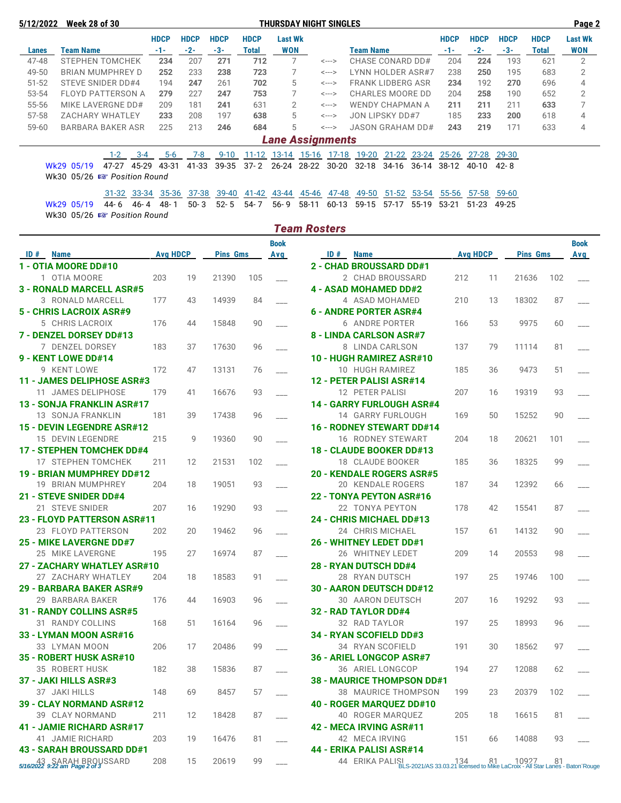**5/12/2022 Week 28 of 30 THURSDAY NIGHT SINGLES Page 2**

|           |                                                             | <b>HDCP</b> | <b>HDCP</b> | <b>HDCP</b> | <b>HDCP</b> | <b>Last Wk</b>          |       |                            |                                 | <b>HDCP</b> | <b>HDCP</b> | <b>HDCP</b> | <b>HDCP</b> | <b>Last Wk</b> |
|-----------|-------------------------------------------------------------|-------------|-------------|-------------|-------------|-------------------------|-------|----------------------------|---------------------------------|-------------|-------------|-------------|-------------|----------------|
| Lanes     | <b>Team Name</b>                                            | $-1-$       | $-2-$       | $-3-$       | Total       | WON                     |       |                            | <b>Team Name</b>                | $-1-$       | $-2-$       | $-3-$       | Total       | <b>WON</b>     |
| 47-48     | <b>STEPHEN TOMCHEK</b>                                      | 234         | 207         | 271         | 712         |                         |       | <--->                      | CHASE CONARD DD#                | 204         | 224         | 193         | 621         | $\overline{2}$ |
| 49-50     | BRIAN MUMPHREY D                                            | 252         | 233         | 238         | 723         |                         |       | <--->                      | LYNN HOLDER ASR#7               | 238         | 250         | 195         | 683         | 2              |
| $51 - 52$ | STEVE SNIDER DD#4                                           | 194         | 247         | 261         | 702         | 5                       |       | $\leftarrow$ $\rightarrow$ | <b>FRANK LIDBERG ASR</b>        | 234         | 192         | 270         | 696         | 4              |
| 53-54     | <b>FLOYD PATTERSON A</b>                                    | 279         | 227         | 247         | 753         |                         |       | <--->                      | CHARLES MOORE DD                | 204         | 258         | 190         | 652         | $\overline{2}$ |
| 55-56     | MIKE LAVERGNE DD#                                           | 209         | 181         | 241         | 631         | 2                       |       | <--->                      | WENDY CHAPMAN A                 | 211         | 211         | 211         | 633         |                |
| 57-58     | ZACHARY WHATLEY                                             | 233         | 208         | 197         | 638         | 5                       |       | <--->                      | JON LIPSKY DD#7                 | 185         | 233         | 200         | 618         | 4              |
| $59 - 60$ | <b>BARBARA BAKER ASR</b>                                    | 225         | 213         | 246         | 684         | 5                       |       | <--->                      | <b>JASON GRAHAM DD#</b>         | 243         | 219         | 171         | 633         | 4              |
|           |                                                             |             |             |             |             | <b>Lane Assignments</b> |       |                            |                                 |             |             |             |             |                |
|           | $1-2$<br>$3 - 4$                                            | $5-6$       | 7-8         | $9 - 10$    | 11-12       | 13-14                   | 15-16 | $17-18$                    | $21 - 22$<br>$23 - 24$<br>19-20 | $25 - 26$   | 27-28       | 29-30       |             |                |
|           | 45-29<br>47-27<br>Wk29 05/19<br>Wk30 05/26 B Position Round | 43-31       | 41-33       | 39-35       | $37 - 2$    | $26 - 24$               | 28-22 | $30-20$                    | $32 - 18$<br>34-16<br>$36-14$   | 38-12       | 40-10       | 42-8        |             |                |

31-32 33-34 35-36 37-38 39-40 41-42 43-44 45-46 47-48 49-50 51-52 53-54 55-56 57-58 59-60 Wk29 05/19 44- 6 46- 4 48- 1 50- 3 52- 5 54- 7 56- 9 58-11 60-13 59-15 57-17 55-19 53-21 51-23 49-25 Wk30 05/26  $\sqrt{3}$  Position Round

|                                     |                 |    |                 |     |             | <b>Team Rosters</b>                                                                                             |                 |    |                 |     |             |
|-------------------------------------|-----------------|----|-----------------|-----|-------------|-----------------------------------------------------------------------------------------------------------------|-----------------|----|-----------------|-----|-------------|
|                                     |                 |    |                 |     | <b>Book</b> |                                                                                                                 |                 |    |                 |     | <b>Book</b> |
| ID#<br><b>Name</b>                  | <b>Avg HDCP</b> |    | <b>Pins Gms</b> |     | Avg         | ID#<br><b>Name</b>                                                                                              | <b>Avg HDCP</b> |    | <b>Pins Gms</b> |     | Avg         |
| 1 - OTIA MOORE DD#10                |                 |    |                 |     |             | <b>2 - CHAD BROUSSARD DD#1</b>                                                                                  |                 |    |                 |     |             |
| 1 OTIA MOORE                        | 203             | 19 | 21390           | 105 |             | 2 CHAD BROUSSARD                                                                                                | 212             | 11 | 21636           | 102 |             |
| <b>3 - RONALD MARCELL ASR#5</b>     |                 |    |                 |     |             | <b>4 - ASAD MOHAMED DD#2</b>                                                                                    |                 |    |                 |     |             |
| 3 RONALD MARCELL                    | 177             | 43 | 14939           | 84  |             | 4 ASAD MOHAMED                                                                                                  | 210             | 13 | 18302           | 87  |             |
| 5 - CHRIS LACROIX ASR#9             |                 |    |                 |     |             | 6 - ANDRE PORTER ASR#4                                                                                          |                 |    |                 |     |             |
| 5 CHRIS LACROIX                     | 176             | 44 | 15848           | 90  |             | 6 ANDRE PORTER                                                                                                  | 166             | 53 | 9975            | 60  |             |
| 7 - DENZEL DORSEY DD#13             |                 |    |                 |     |             | 8 - LINDA CARLSON ASR#7                                                                                         |                 |    |                 |     |             |
| 7 DENZEL DORSEY                     | 183             | 37 | 17630           | 96  |             | 8 LINDA CARLSON                                                                                                 | 137             | 79 | 11114           | 81  |             |
| 9 - KENT LOWE DD#14                 |                 |    |                 |     |             | 10 - HUGH RAMIREZ ASR#10                                                                                        |                 |    |                 |     |             |
| 9 KENT LOWE                         | 172             | 47 | 13131           | 76  |             | 10 HUGH RAMIREZ                                                                                                 | 185             | 36 | 9473            | 51  |             |
| 11 - JAMES DELIPHOSE ASR#3          |                 |    |                 |     |             | 12 - PETER PALISI ASR#14                                                                                        |                 |    |                 |     |             |
| 11 JAMES DELIPHOSE                  | 179             | 41 | 16676           | 93  |             | 12 PETER PALISI                                                                                                 | 207             | 16 | 19319           | 93  |             |
| 13 - SONJA FRANKLIN ASR#17          |                 |    |                 |     |             | <b>14 - GARRY FURLOUGH ASR#4</b>                                                                                |                 |    |                 |     |             |
| 13 SONJA FRANKLIN                   | 181             | 39 | 17438           | 96  |             | 14 GARRY FURLOUGH                                                                                               | 169             | 50 | 15252           | 90  |             |
| 15 - DEVIN LEGENDRE ASR#12          |                 |    |                 |     |             | <b>16 - RODNEY STEWART DD#14</b>                                                                                |                 |    |                 |     |             |
| 15 DEVIN LEGENDRE                   | 215             | 9  | 19360           | 90  |             | 16 RODNEY STEWART                                                                                               | 204             | 18 | 20621           | 101 |             |
| <b>17 - STEPHEN TOMCHEK DD#4</b>    |                 |    |                 |     |             | 18 - CLAUDE BOOKER DD#13                                                                                        |                 |    |                 |     |             |
| 17 STEPHEN TOMCHEK                  | 211             | 12 | 21531           | 102 |             | 18 CLAUDE BOOKER                                                                                                | 185             | 36 | 18325           | 99  |             |
| <b>19 - BRIAN MUMPHREY DD#12</b>    |                 |    |                 |     |             | <b>20 - KENDALE ROGERS ASR#5</b>                                                                                |                 |    |                 |     |             |
| 19 BRIAN MUMPHREY                   | 204             | 18 | 19051           | 93  |             | 20 KENDALE ROGERS                                                                                               | 187             | 34 | 12392           | 66  |             |
| 21 - STEVE SNIDER DD#4              |                 |    |                 |     |             | 22 - TONYA PEYTON ASR#16                                                                                        |                 |    |                 |     |             |
| 21 STEVE SNIDER                     | 207             | 16 | 19290           | 93  |             | 22 TONYA PEYTON                                                                                                 | 178             | 42 | 15541           | 87  |             |
| 23 - FLOYD PATTERSON ASR#11         |                 |    |                 |     |             | <b>24 - CHRIS MICHAEL DD#13</b>                                                                                 |                 |    |                 |     |             |
| 23 FLOYD PATTERSON                  | 202             | 20 | 19462           | 96  |             | 24 CHRIS MICHAEL                                                                                                | 157             | 61 | 14132           | 90  |             |
| <b>25 - MIKE LAVERGNE DD#7</b>      |                 |    |                 |     |             | <b>26 - WHITNEY LEDET DD#1</b>                                                                                  |                 |    |                 |     |             |
| 25 MIKE LAVERGNE                    | 195             | 27 | 16974           | 87  |             | 26 WHITNEY LEDET                                                                                                | 209             | 14 | 20553           | 98  |             |
| 27 - ZACHARY WHATLEY ASR#10         |                 |    |                 |     |             | <b>28 - RYAN DUTSCH DD#4</b>                                                                                    |                 |    |                 |     |             |
| 27 ZACHARY WHATLEY                  | 204             | 18 | 18583           | 91  |             | 28 RYAN DUTSCH                                                                                                  | 197             | 25 | 19746           | 100 |             |
| 29 - BARBARA BAKER ASR#9            |                 |    |                 |     |             | 30 - AARON DEUTSCH DD#12                                                                                        |                 |    |                 |     |             |
| 29 BARBARA BAKER                    | 176             | 44 | 16903           | 96  |             | 30 AARON DEUTSCH                                                                                                | 207             | 16 | 19292           | 93  |             |
| <b>31 - RANDY COLLINS ASR#5</b>     |                 |    |                 |     |             | 32 - RAD TAYLOR DD#4                                                                                            |                 |    |                 |     |             |
| 31 RANDY COLLINS                    | 168             | 51 | 16164           | 96  |             | 32 RAD TAYLOR                                                                                                   | 197             | 25 | 18993           | 96  |             |
| 33 - LYMAN MOON ASR#16              |                 |    |                 |     |             | 34 - RYAN SCOFIELD DD#3                                                                                         |                 |    |                 |     |             |
| 33 LYMAN MOON                       | 206             | 17 | 20486           | 99  |             | 34 RYAN SCOFIELD                                                                                                | 191             | 30 | 18562           | 97  |             |
| 35 - ROBERT HUSK ASR#10             |                 |    |                 |     |             | 36 - ARIEL LONGCOP ASR#7                                                                                        |                 |    |                 |     |             |
| 35 ROBERT HUSK                      | 182             | 38 | 15836           | 87  |             | 36 ARIEL LONGCOP                                                                                                | 194             | 27 | 12088           | 62  |             |
| 37 - JAKI HILLS ASR#3               |                 |    |                 |     |             | <b>38 - MAURICE THOMPSON DD#1</b>                                                                               |                 |    |                 |     |             |
| 37 JAKI HILLS                       | 148             | 69 | 8457            | 57  |             | 38 MAURICE THOMPSON                                                                                             | 199             | 23 | 20379           | 102 |             |
| 39 - CLAY NORMAND ASR#12            |                 |    |                 |     |             | 40 - ROGER MARQUEZ DD#10                                                                                        |                 |    |                 |     |             |
| 39 CLAY NORMAND                     | 211             | 12 | 18428           | 87  |             | 40 ROGER MARQUEZ                                                                                                | 205             | 18 | 16615           | 81  |             |
| 41 - JAMIE RICHARD ASR#17           |                 |    |                 |     |             | 42 - MECA IRVING ASR#11                                                                                         |                 |    |                 |     |             |
| 41 JAMIE RICHARD                    | 203             | 19 | 16476           | 81  |             | 42 MECA IRVING                                                                                                  | 151             | 66 | 14088           | 93  |             |
| <b>43 - SARAH BROUSSARD DD#1</b>    |                 |    |                 |     |             | 44 - ERIKA PALISI ASR#14                                                                                        |                 |    |                 |     |             |
| 5/16/2022 9:22 am Page 2 of 3 SSARD | 208             | 15 | 20619           | 99  |             | 44 ERIKA PALISI 134 81 10927 81<br>BLS-2021/AS 33.03.21 licensed to Mike LaCroix - All Star Lanes - Baton Rouge |                 |    |                 |     |             |